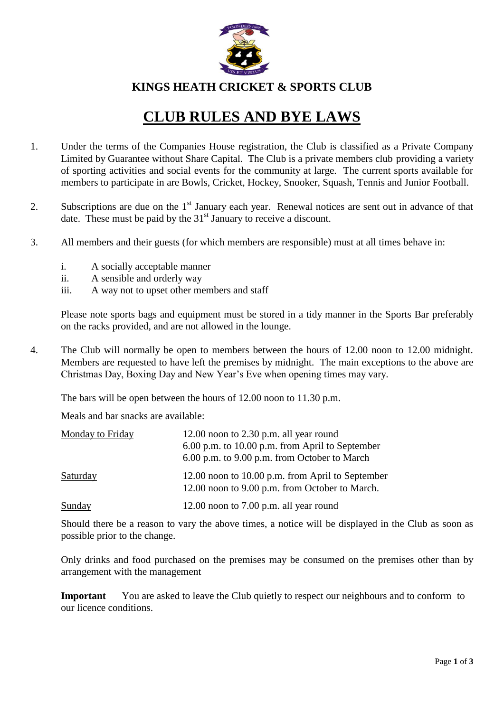

**KINGS HEATH CRICKET & SPORTS CLUB**

## **CLUB RULES AND BYE LAWS**

- 1. Under the terms of the Companies House registration, the Club is classified as a Private Company Limited by Guarantee without Share Capital. The Club is a private members club providing a variety of sporting activities and social events for the community at large. The current sports available for members to participate in are Bowls, Cricket, Hockey, Snooker, Squash, Tennis and Junior Football.
- 2. Subscriptions are due on the  $1<sup>st</sup>$  January each year. Renewal notices are sent out in advance of that date. These must be paid by the  $31<sup>st</sup>$  January to receive a discount.
- 3. All members and their guests (for which members are responsible) must at all times behave in:
	- i. A socially acceptable manner
	- ii. A sensible and orderly way
	- iii. A way not to upset other members and staff

Please note sports bags and equipment must be stored in a tidy manner in the Sports Bar preferably on the racks provided, and are not allowed in the lounge.

4. The Club will normally be open to members between the hours of 12.00 noon to 12.00 midnight. Members are requested to have left the premises by midnight. The main exceptions to the above are Christmas Day, Boxing Day and New Year's Eve when opening times may vary.

The bars will be open between the hours of 12.00 noon to 11.30 p.m.

Meals and bar snacks are available:

| Monday to Friday | 12.00 noon to $2.30$ p.m. all year round                                                           |
|------------------|----------------------------------------------------------------------------------------------------|
|                  | 6.00 p.m. to 10.00 p.m. from April to September<br>6.00 p.m. to 9.00 p.m. from October to March    |
| Saturday         | 12.00 noon to 10.00 p.m. from April to September<br>12.00 noon to 9.00 p.m. from October to March. |
| Sunday           | 12.00 noon to $7.00$ p.m. all year round                                                           |

Should there be a reason to vary the above times, a notice will be displayed in the Club as soon as possible prior to the change.

Only drinks and food purchased on the premises may be consumed on the premises other than by arrangement with the management

**Important** You are asked to leave the Club quietly to respect our neighbours and to conform to our licence conditions.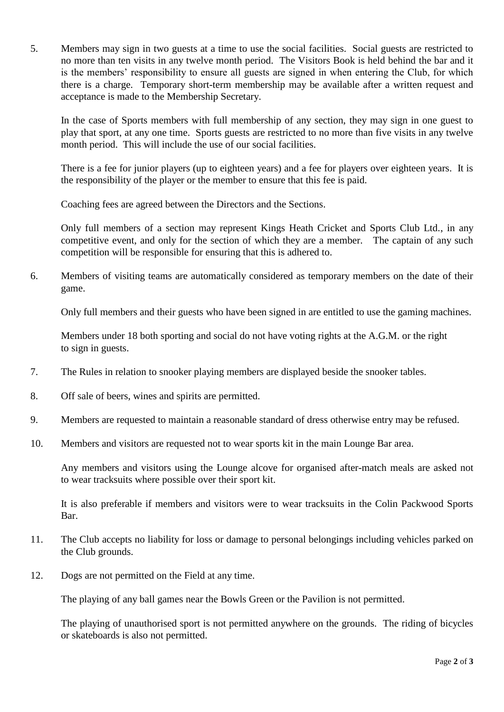5. Members may sign in two guests at a time to use the social facilities. Social guests are restricted to no more than ten visits in any twelve month period. The Visitors Book is held behind the bar and it is the members' responsibility to ensure all guests are signed in when entering the Club, for which there is a charge. Temporary short-term membership may be available after a written request and acceptance is made to the Membership Secretary.

In the case of Sports members with full membership of any section, they may sign in one guest to play that sport, at any one time. Sports guests are restricted to no more than five visits in any twelve month period. This will include the use of our social facilities.

There is a fee for junior players (up to eighteen years) and a fee for players over eighteen years. It is the responsibility of the player or the member to ensure that this fee is paid.

Coaching fees are agreed between the Directors and the Sections.

Only full members of a section may represent Kings Heath Cricket and Sports Club Ltd., in any competitive event, and only for the section of which they are a member. The captain of any such competition will be responsible for ensuring that this is adhered to.

6. Members of visiting teams are automatically considered as temporary members on the date of their game.

Only full members and their guests who have been signed in are entitled to use the gaming machines.

Members under 18 both sporting and social do not have voting rights at the A.G.M. or the right to sign in guests.

- 7. The Rules in relation to snooker playing members are displayed beside the snooker tables.
- 8. Off sale of beers, wines and spirits are permitted.
- 9. Members are requested to maintain a reasonable standard of dress otherwise entry may be refused.
- 10. Members and visitors are requested not to wear sports kit in the main Lounge Bar area.

Any members and visitors using the Lounge alcove for organised after-match meals are asked not to wear tracksuits where possible over their sport kit.

It is also preferable if members and visitors were to wear tracksuits in the Colin Packwood Sports Bar.

- 11. The Club accepts no liability for loss or damage to personal belongings including vehicles parked on the Club grounds.
- 12. Dogs are not permitted on the Field at any time.

The playing of any ball games near the Bowls Green or the Pavilion is not permitted.

The playing of unauthorised sport is not permitted anywhere on the grounds. The riding of bicycles or skateboards is also not permitted.